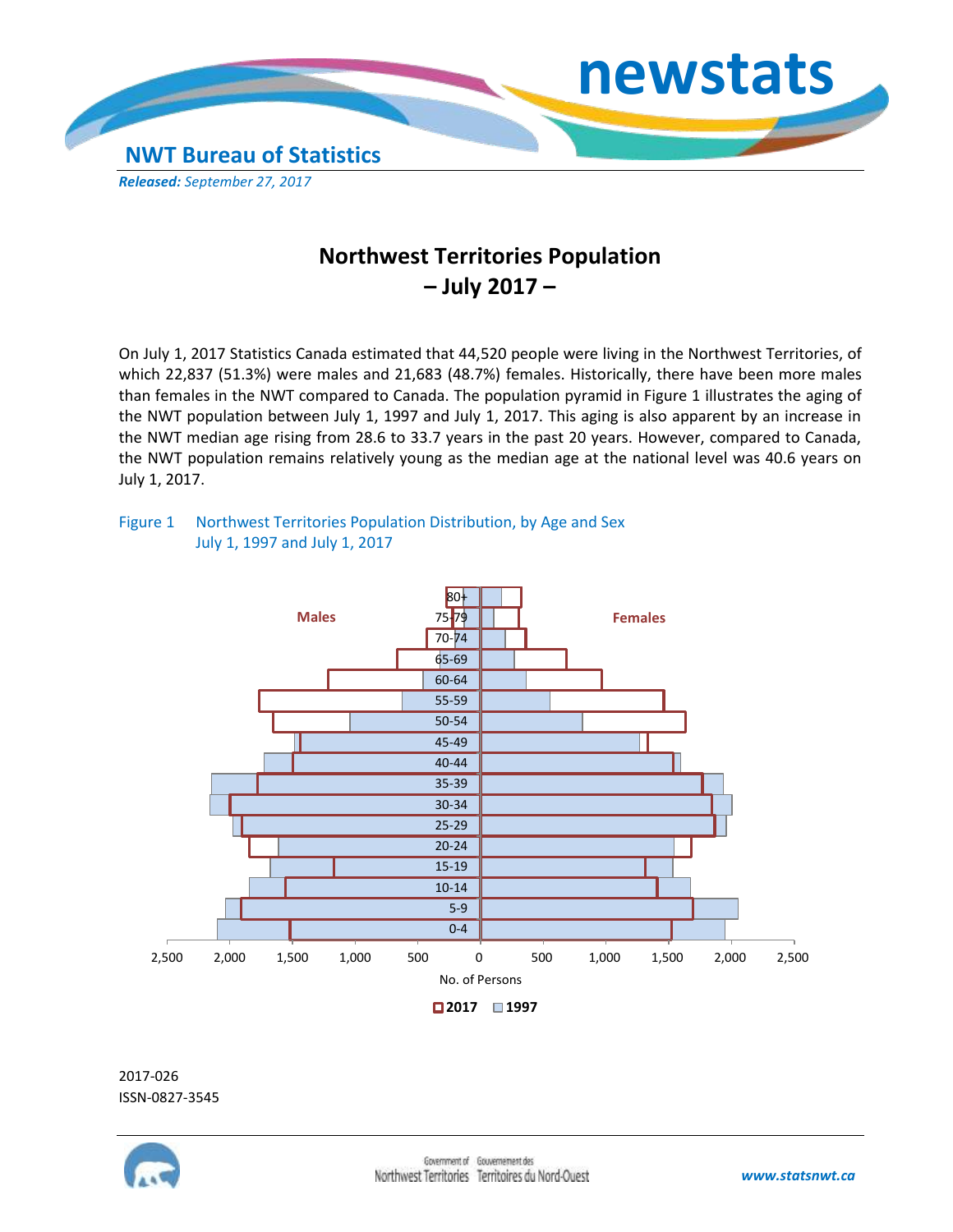

## **Northwest Territories Population – July 2017 –**

On July 1, 2017 Statistics Canada estimated that 44,520 people were living in the Northwest Territories, of which 22,837 (51.3%) were males and 21,683 (48.7%) females. Historically, there have been more males than females in the NWT compared to Canada. The population pyramid in Figure 1 illustrates the aging of the NWT population between July 1, 1997 and July 1, 2017. This aging is also apparent by an increase in the NWT median age rising from 28.6 to 33.7 years in the past 20 years. However, compared to Canada, the NWT population remains relatively young as the median age at the national level was 40.6 years on July 1, 2017.

## Figure 1 Northwest Territories Population Distribution, by Age and Sex July 1, 1997 and July 1, 2017



2017-026 ISSN-0827-3545

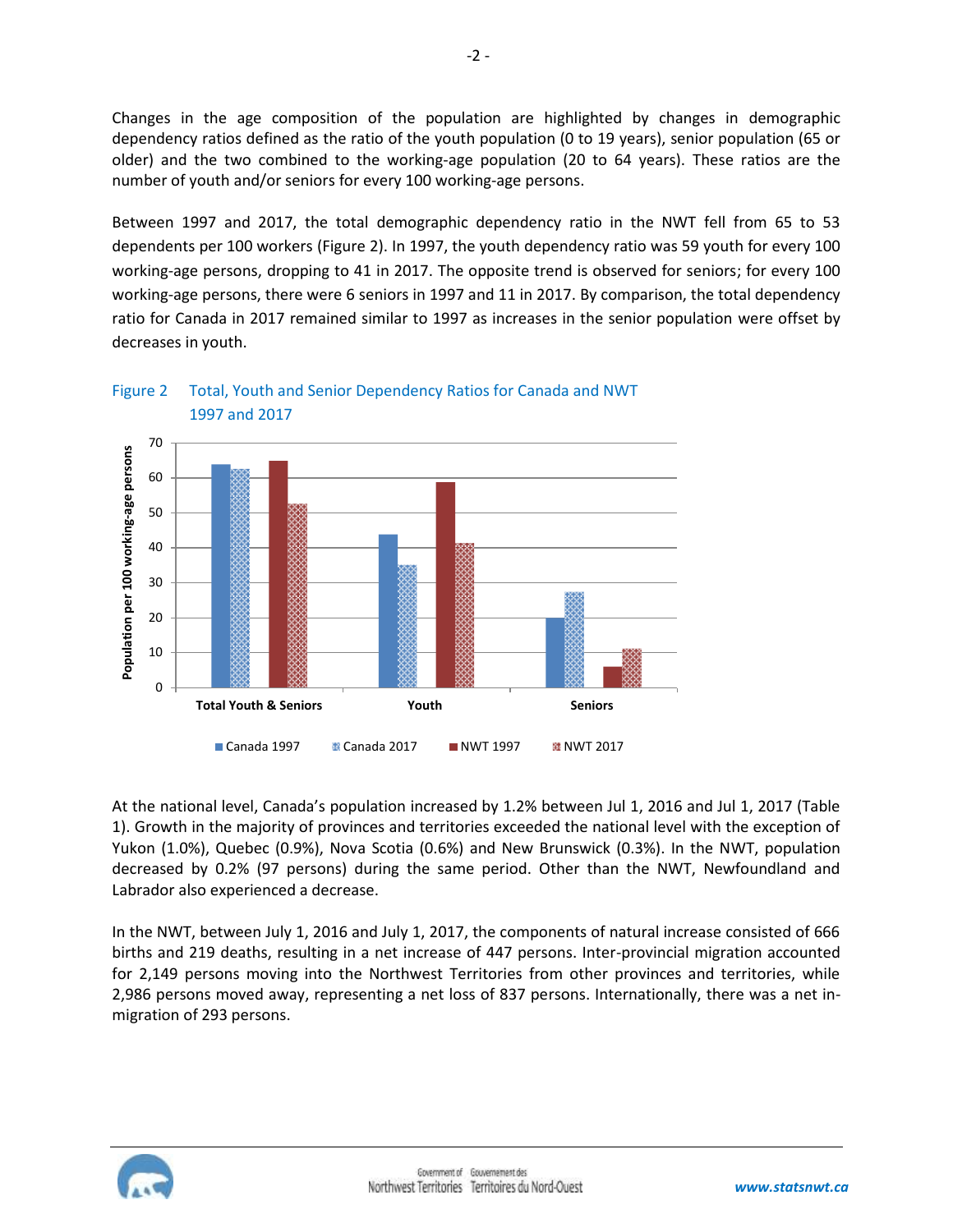Changes in the age composition of the population are highlighted by changes in demographic dependency ratios defined as the ratio of the youth population (0 to 19 years), senior population (65 or older) and the two combined to the working-age population (20 to 64 years). These ratios are the number of youth and/or seniors for every 100 working-age persons.

Between 1997 and 2017, the total demographic dependency ratio in the NWT fell from 65 to 53 dependents per 100 workers (Figure 2). In 1997, the youth dependency ratio was 59 youth for every 100 working-age persons, dropping to 41 in 2017. The opposite trend is observed for seniors; for every 100 working-age persons, there were 6 seniors in 1997 and 11 in 2017. By comparison, the total dependency ratio for Canada in 2017 remained similar to 1997 as increases in the senior population were offset by decreases in youth.





At the national level, Canada's population increased by 1.2% between Jul 1, 2016 and Jul 1, 2017 (Table 1). Growth in the majority of provinces and territories exceeded the national level with the exception of Yukon (1.0%), Quebec (0.9%), Nova Scotia (0.6%) and New Brunswick (0.3%). In the NWT, population decreased by 0.2% (97 persons) during the same period. Other than the NWT, Newfoundland and Labrador also experienced a decrease.

In the NWT, between July 1, 2016 and July 1, 2017, the components of natural increase consisted of 666 births and 219 deaths, resulting in a net increase of 447 persons. Inter-provincial migration accounted for 2,149 persons moving into the Northwest Territories from other provinces and territories, while 2,986 persons moved away, representing a net loss of 837 persons. Internationally, there was a net inmigration of 293 persons.

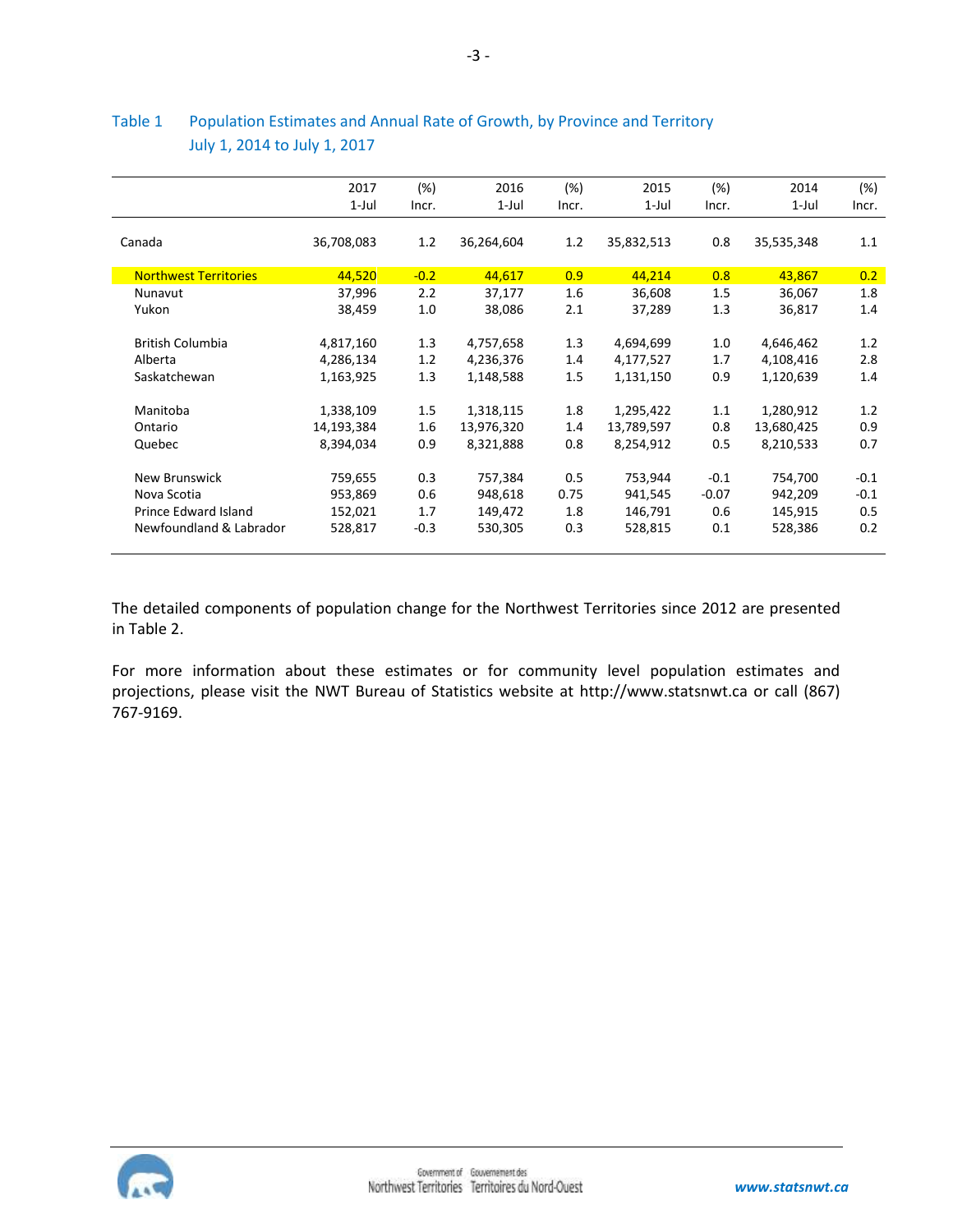|                              | 2017       | (%)    | 2016       | (%)   | 2015       | (%)     | 2014       | (%)    |
|------------------------------|------------|--------|------------|-------|------------|---------|------------|--------|
|                              | 1-Jul      | Incr.  | 1-Jul      | Incr. | $1$ -Jul   | Incr.   | 1-Jul      | Incr.  |
| Canada                       | 36,708,083 | 1.2    | 36,264,604 | 1.2   | 35,832,513 | 0.8     | 35,535,348 | 1.1    |
| <b>Northwest Territories</b> | 44,520     | $-0.2$ | 44,617     | 0.9   | 44,214     | 0.8     | 43,867     | 0.2    |
| Nunavut                      | 37,996     | 2.2    | 37,177     | 1.6   | 36,608     | 1.5     | 36,067     | 1.8    |
| Yukon                        | 38,459     | 1.0    | 38,086     | 2.1   | 37,289     | 1.3     | 36,817     | 1.4    |
| <b>British Columbia</b>      | 4,817,160  | 1.3    | 4,757,658  | 1.3   | 4,694,699  | 1.0     | 4,646,462  | 1.2    |
| Alberta                      | 4,286,134  | 1.2    | 4,236,376  | 1.4   | 4,177,527  | 1.7     | 4,108,416  | 2.8    |
| Saskatchewan                 | 1,163,925  | 1.3    | 1,148,588  | 1.5   | 1,131,150  | 0.9     | 1,120,639  | 1.4    |
| Manitoba                     | 1,338,109  | 1.5    | 1,318,115  | 1.8   | 1,295,422  | 1.1     | 1,280,912  | 1.2    |
| Ontario                      | 14,193,384 | 1.6    | 13,976,320 | 1.4   | 13,789,597 | 0.8     | 13,680,425 | 0.9    |
| Quebec                       | 8,394,034  | 0.9    | 8,321,888  | 0.8   | 8,254,912  | 0.5     | 8,210,533  | 0.7    |
| New Brunswick                | 759,655    | 0.3    | 757,384    | 0.5   | 753,944    | $-0.1$  | 754,700    | $-0.1$ |
| Nova Scotia                  | 953,869    | 0.6    | 948,618    | 0.75  | 941,545    | $-0.07$ | 942,209    | $-0.1$ |
| Prince Edward Island         | 152,021    | 1.7    | 149,472    | 1.8   | 146,791    | 0.6     | 145,915    | 0.5    |
| Newfoundland & Labrador      | 528,817    | $-0.3$ | 530,305    | 0.3   | 528,815    | 0.1     | 528,386    | 0.2    |

## Table 1 Population Estimates and Annual Rate of Growth, by Province and Territory July 1, 2014 to July 1, 2017

The detailed components of population change for the Northwest Territories since 2012 are presented in Table 2.

For more information about these estimates or for community level population estimates and projections, please visit the NWT Bureau of Statistics website at http://www.statsnwt.ca or call (867) 767-9169.